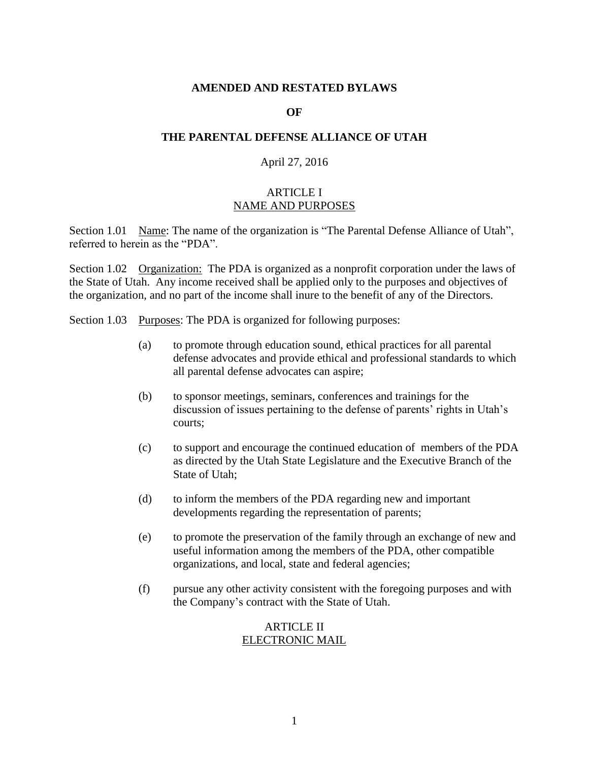#### **AMENDED AND RESTATED BYLAWS**

#### **OF**

### **THE PARENTAL DEFENSE ALLIANCE OF UTAH**

#### April 27, 2016

### ARTICLE I NAME AND PURPOSES

Section 1.01 Name: The name of the organization is "The Parental Defense Alliance of Utah", referred to herein as the "PDA".

Section 1.02 Organization: The PDA is organized as a nonprofit corporation under the laws of the State of Utah. Any income received shall be applied only to the purposes and objectives of the organization, and no part of the income shall inure to the benefit of any of the Directors.

Section 1.03 Purposes: The PDA is organized for following purposes:

- (a) to promote through education sound, ethical practices for all parental defense advocates and provide ethical and professional standards to which all parental defense advocates can aspire;
- (b) to sponsor meetings, seminars, conferences and trainings for the discussion of issues pertaining to the defense of parents' rights in Utah's courts;
- (c) to support and encourage the continued education of members of the PDA as directed by the Utah State Legislature and the Executive Branch of the State of Utah;
- (d) to inform the members of the PDA regarding new and important developments regarding the representation of parents;
- (e) to promote the preservation of the family through an exchange of new and useful information among the members of the PDA, other compatible organizations, and local, state and federal agencies;
- (f) pursue any other activity consistent with the foregoing purposes and with the Company's contract with the State of Utah.

### ARTICLE II ELECTRONIC MAIL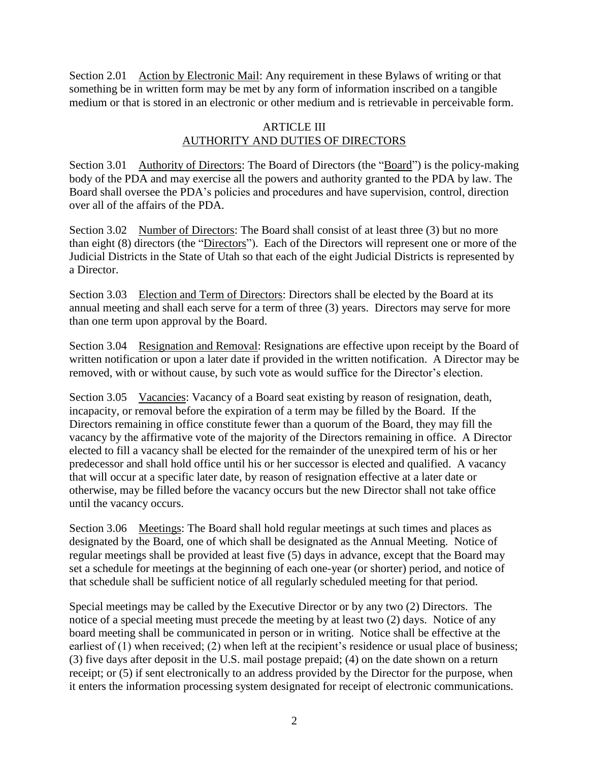Section 2.01 Action by Electronic Mail: Any requirement in these Bylaws of writing or that something be in written form may be met by any form of information inscribed on a tangible medium or that is stored in an electronic or other medium and is retrievable in perceivable form.

# ARTICLE III AUTHORITY AND DUTIES OF DIRECTORS

Section 3.01 Authority of Directors: The Board of Directors (the "Board") is the policy-making body of the PDA and may exercise all the powers and authority granted to the PDA by law. The Board shall oversee the PDA's policies and procedures and have supervision, control, direction over all of the affairs of the PDA.

Section 3.02 Number of Directors: The Board shall consist of at least three (3) but no more than eight (8) directors (the "Directors"). Each of the Directors will represent one or more of the Judicial Districts in the State of Utah so that each of the eight Judicial Districts is represented by a Director.

Section 3.03 Election and Term of Directors: Directors shall be elected by the Board at its annual meeting and shall each serve for a term of three (3) years. Directors may serve for more than one term upon approval by the Board.

Section 3.04 Resignation and Removal: Resignations are effective upon receipt by the Board of written notification or upon a later date if provided in the written notification. A Director may be removed, with or without cause, by such vote as would suffice for the Director's election.

Section 3.05 Vacancies: Vacancy of a Board seat existing by reason of resignation, death, incapacity, or removal before the expiration of a term may be filled by the Board. If the Directors remaining in office constitute fewer than a quorum of the Board, they may fill the vacancy by the affirmative vote of the majority of the Directors remaining in office. A Director elected to fill a vacancy shall be elected for the remainder of the unexpired term of his or her predecessor and shall hold office until his or her successor is elected and qualified. A vacancy that will occur at a specific later date, by reason of resignation effective at a later date or otherwise, may be filled before the vacancy occurs but the new Director shall not take office until the vacancy occurs.

Section 3.06 Meetings: The Board shall hold regular meetings at such times and places as designated by the Board, one of which shall be designated as the Annual Meeting. Notice of regular meetings shall be provided at least five (5) days in advance, except that the Board may set a schedule for meetings at the beginning of each one-year (or shorter) period, and notice of that schedule shall be sufficient notice of all regularly scheduled meeting for that period.

Special meetings may be called by the Executive Director or by any two (2) Directors. The notice of a special meeting must precede the meeting by at least two (2) days. Notice of any board meeting shall be communicated in person or in writing. Notice shall be effective at the earliest of (1) when received; (2) when left at the recipient's residence or usual place of business; (3) five days after deposit in the U.S. mail postage prepaid; (4) on the date shown on a return receipt; or (5) if sent electronically to an address provided by the Director for the purpose, when it enters the information processing system designated for receipt of electronic communications.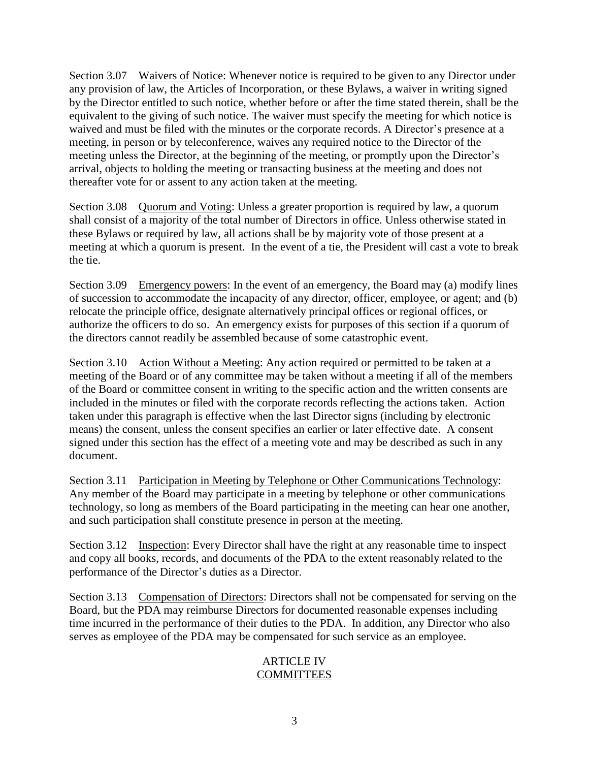Section 3.07 Waivers of Notice: Whenever notice is required to be given to any Director under any provision of law, the Articles of Incorporation, or these Bylaws, a waiver in writing signed by the Director entitled to such notice, whether before or after the time stated therein, shall be the equivalent to the giving of such notice. The waiver must specify the meeting for which notice is waived and must be filed with the minutes or the corporate records. A Director's presence at a meeting, in person or by teleconference, waives any required notice to the Director of the meeting unless the Director, at the beginning of the meeting, or promptly upon the Director's arrival, objects to holding the meeting or transacting business at the meeting and does not thereafter vote for or assent to any action taken at the meeting.

Section 3.08 Quorum and Voting: Unless a greater proportion is required by law, a quorum shall consist of a majority of the total number of Directors in office. Unless otherwise stated in these Bylaws or required by law, all actions shall be by majority vote of those present at a meeting at which a quorum is present. In the event of a tie, the President will cast a vote to break the tie.

Section 3.09 Emergency powers: In the event of an emergency, the Board may (a) modify lines of succession to accommodate the incapacity of any director, officer, employee, or agent; and (b) relocate the principle office, designate alternatively principal offices or regional offices, or authorize the officers to do so. An emergency exists for purposes of this section if a quorum of the directors cannot readily be assembled because of some catastrophic event.

Section 3.10 Action Without a Meeting: Any action required or permitted to be taken at a meeting of the Board or of any committee may be taken without a meeting if all of the members of the Board or committee consent in writing to the specific action and the written consents are included in the minutes or filed with the corporate records reflecting the actions taken. Action taken under this paragraph is effective when the last Director signs (including by electronic means) the consent, unless the consent specifies an earlier or later effective date. A consent signed under this section has the effect of a meeting vote and may be described as such in any document.

Section 3.11 Participation in Meeting by Telephone or Other Communications Technology: Any member of the Board may participate in a meeting by telephone or other communications technology, so long as members of the Board participating in the meeting can hear one another, and such participation shall constitute presence in person at the meeting.

Section 3.12 Inspection: Every Director shall have the right at any reasonable time to inspect and copy all books, records, and documents of the PDA to the extent reasonably related to the performance of the Director's duties as a Director.

Section 3.13 Compensation of Directors: Directors shall not be compensated for serving on the Board, but the PDA may reimburse Directors for documented reasonable expenses including time incurred in the performance of their duties to the PDA. In addition, any Director who also serves as employee of the PDA may be compensated for such service as an employee.

# ARTICLE IV **COMMITTEES**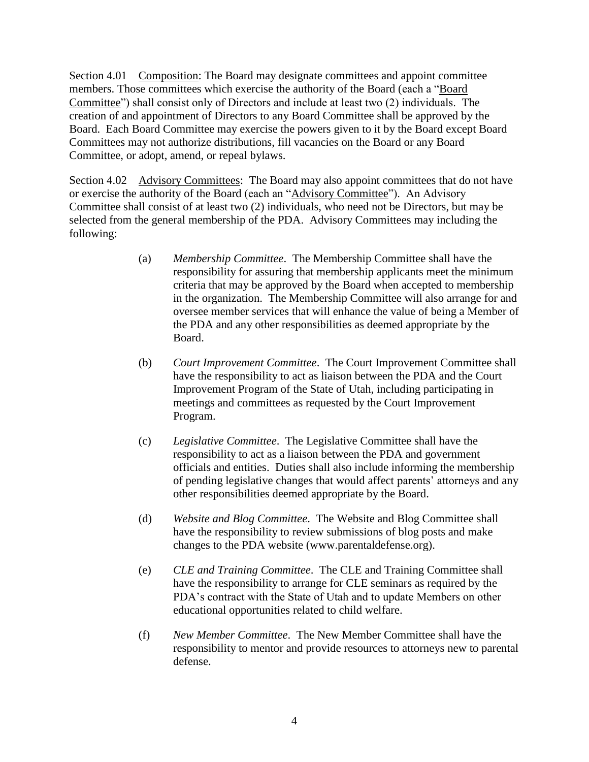Section 4.01 Composition: The Board may designate committees and appoint committee members. Those committees which exercise the authority of the Board (each a "Board Committee") shall consist only of Directors and include at least two (2) individuals. The creation of and appointment of Directors to any Board Committee shall be approved by the Board. Each Board Committee may exercise the powers given to it by the Board except Board Committees may not authorize distributions, fill vacancies on the Board or any Board Committee, or adopt, amend, or repeal bylaws.

Section 4.02 Advisory Committees: The Board may also appoint committees that do not have or exercise the authority of the Board (each an "Advisory Committee"). An Advisory Committee shall consist of at least two (2) individuals, who need not be Directors, but may be selected from the general membership of the PDA. Advisory Committees may including the following:

- (a) *Membership Committee*. The Membership Committee shall have the responsibility for assuring that membership applicants meet the minimum criteria that may be approved by the Board when accepted to membership in the organization. The Membership Committee will also arrange for and oversee member services that will enhance the value of being a Member of the PDA and any other responsibilities as deemed appropriate by the Board.
- (b) *Court Improvement Committee*. The Court Improvement Committee shall have the responsibility to act as liaison between the PDA and the Court Improvement Program of the State of Utah, including participating in meetings and committees as requested by the Court Improvement Program.
- (c) *Legislative Committee*. The Legislative Committee shall have the responsibility to act as a liaison between the PDA and government officials and entities. Duties shall also include informing the membership of pending legislative changes that would affect parents' attorneys and any other responsibilities deemed appropriate by the Board.
- (d) *Website and Blog Committee*. The Website and Blog Committee shall have the responsibility to review submissions of blog posts and make changes to the PDA website (www.parentaldefense.org).
- (e) *CLE and Training Committee*. The CLE and Training Committee shall have the responsibility to arrange for CLE seminars as required by the PDA's contract with the State of Utah and to update Members on other educational opportunities related to child welfare.
- (f) *New Member Committee*. The New Member Committee shall have the responsibility to mentor and provide resources to attorneys new to parental defense.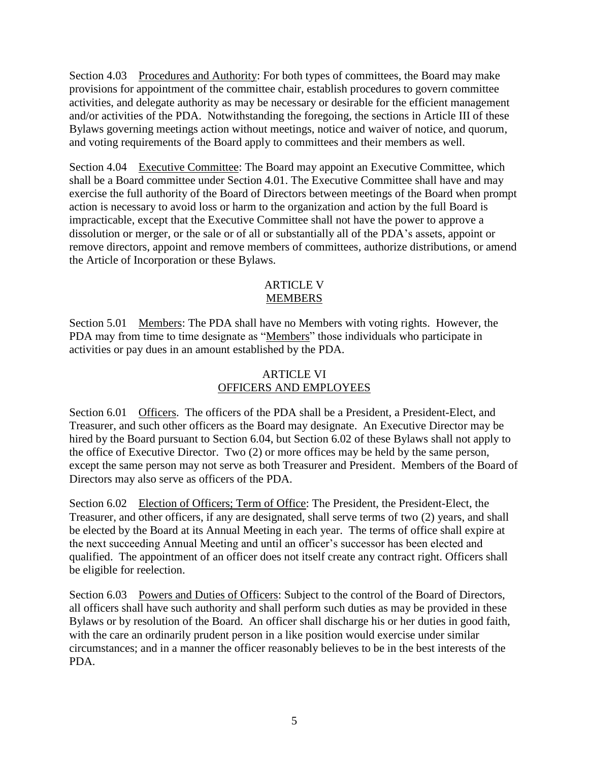Section 4.03 Procedures and Authority: For both types of committees, the Board may make provisions for appointment of the committee chair, establish procedures to govern committee activities, and delegate authority as may be necessary or desirable for the efficient management and/or activities of the PDA. Notwithstanding the foregoing, the sections in Article III of these Bylaws governing meetings action without meetings, notice and waiver of notice, and quorum, and voting requirements of the Board apply to committees and their members as well.

Section 4.04 Executive Committee: The Board may appoint an Executive Committee, which shall be a Board committee under Section 4.01. The Executive Committee shall have and may exercise the full authority of the Board of Directors between meetings of the Board when prompt action is necessary to avoid loss or harm to the organization and action by the full Board is impracticable, except that the Executive Committee shall not have the power to approve a dissolution or merger, or the sale or of all or substantially all of the PDA's assets, appoint or remove directors, appoint and remove members of committees, authorize distributions, or amend the Article of Incorporation or these Bylaws.

## ARTICLE V MEMBERS

Section 5.01 Members: The PDA shall have no Members with voting rights. However, the PDA may from time to time designate as "Members" those individuals who participate in activities or pay dues in an amount established by the PDA.

# ARTICLE VI OFFICERS AND EMPLOYEES

Section 6.01 Officers. The officers of the PDA shall be a President, a President-Elect, and Treasurer, and such other officers as the Board may designate. An Executive Director may be hired by the Board pursuant to Section 6.04, but Section 6.02 of these Bylaws shall not apply to the office of Executive Director. Two (2) or more offices may be held by the same person, except the same person may not serve as both Treasurer and President. Members of the Board of Directors may also serve as officers of the PDA.

Section 6.02 Election of Officers; Term of Office: The President, the President-Elect, the Treasurer, and other officers, if any are designated, shall serve terms of two (2) years, and shall be elected by the Board at its Annual Meeting in each year. The terms of office shall expire at the next succeeding Annual Meeting and until an officer's successor has been elected and qualified. The appointment of an officer does not itself create any contract right. Officers shall be eligible for reelection.

Section 6.03 Powers and Duties of Officers: Subject to the control of the Board of Directors, all officers shall have such authority and shall perform such duties as may be provided in these Bylaws or by resolution of the Board. An officer shall discharge his or her duties in good faith, with the care an ordinarily prudent person in a like position would exercise under similar circumstances; and in a manner the officer reasonably believes to be in the best interests of the PDA.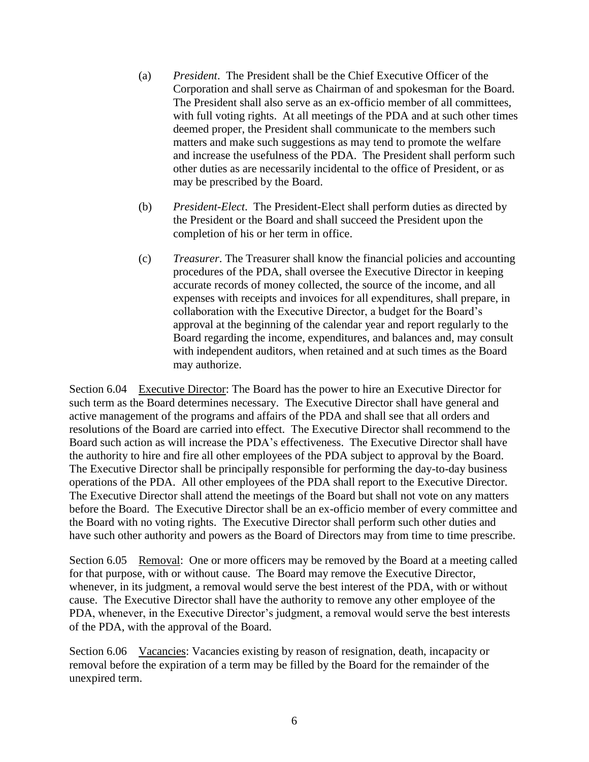- (a) *President*. The President shall be the Chief Executive Officer of the Corporation and shall serve as Chairman of and spokesman for the Board. The President shall also serve as an ex-officio member of all committees, with full voting rights. At all meetings of the PDA and at such other times deemed proper, the President shall communicate to the members such matters and make such suggestions as may tend to promote the welfare and increase the usefulness of the PDA. The President shall perform such other duties as are necessarily incidental to the office of President, or as may be prescribed by the Board.
- (b) *President-Elect*. The President-Elect shall perform duties as directed by the President or the Board and shall succeed the President upon the completion of his or her term in office.
- (c) *Treasurer*. The Treasurer shall know the financial policies and accounting procedures of the PDA, shall oversee the Executive Director in keeping accurate records of money collected, the source of the income, and all expenses with receipts and invoices for all expenditures, shall prepare, in collaboration with the Executive Director, a budget for the Board's approval at the beginning of the calendar year and report regularly to the Board regarding the income, expenditures, and balances and, may consult with independent auditors, when retained and at such times as the Board may authorize.

Section 6.04 Executive Director: The Board has the power to hire an Executive Director for such term as the Board determines necessary. The Executive Director shall have general and active management of the programs and affairs of the PDA and shall see that all orders and resolutions of the Board are carried into effect. The Executive Director shall recommend to the Board such action as will increase the PDA's effectiveness. The Executive Director shall have the authority to hire and fire all other employees of the PDA subject to approval by the Board. The Executive Director shall be principally responsible for performing the day-to-day business operations of the PDA. All other employees of the PDA shall report to the Executive Director. The Executive Director shall attend the meetings of the Board but shall not vote on any matters before the Board. The Executive Director shall be an ex-officio member of every committee and the Board with no voting rights. The Executive Director shall perform such other duties and have such other authority and powers as the Board of Directors may from time to time prescribe.

Section 6.05 Removal: One or more officers may be removed by the Board at a meeting called for that purpose, with or without cause. The Board may remove the Executive Director, whenever, in its judgment, a removal would serve the best interest of the PDA, with or without cause. The Executive Director shall have the authority to remove any other employee of the PDA, whenever, in the Executive Director's judgment, a removal would serve the best interests of the PDA, with the approval of the Board.

Section 6.06 Vacancies: Vacancies existing by reason of resignation, death, incapacity or removal before the expiration of a term may be filled by the Board for the remainder of the unexpired term.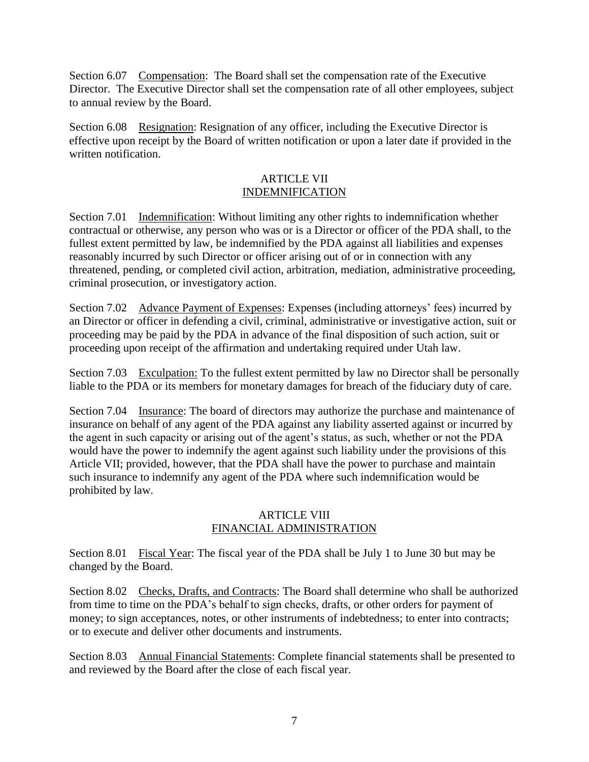Section 6.07 Compensation: The Board shall set the compensation rate of the Executive Director. The Executive Director shall set the compensation rate of all other employees, subject to annual review by the Board.

Section 6.08 Resignation: Resignation of any officer, including the Executive Director is effective upon receipt by the Board of written notification or upon a later date if provided in the written notification.

### ARTICLE VII INDEMNIFICATION

Section 7.01 Indemnification: Without limiting any other rights to indemnification whether contractual or otherwise, any person who was or is a Director or officer of the PDA shall, to the fullest extent permitted by law, be indemnified by the PDA against all liabilities and expenses reasonably incurred by such Director or officer arising out of or in connection with any threatened, pending, or completed civil action, arbitration, mediation, administrative proceeding, criminal prosecution, or investigatory action.

Section 7.02 Advance Payment of Expenses: Expenses (including attorneys' fees) incurred by an Director or officer in defending a civil, criminal, administrative or investigative action, suit or proceeding may be paid by the PDA in advance of the final disposition of such action, suit or proceeding upon receipt of the affirmation and undertaking required under Utah law.

Section 7.03 Exculpation: To the fullest extent permitted by law no Director shall be personally liable to the PDA or its members for monetary damages for breach of the fiduciary duty of care.

Section 7.04 Insurance: The board of directors may authorize the purchase and maintenance of insurance on behalf of any agent of the PDA against any liability asserted against or incurred by the agent in such capacity or arising out of the agent's status, as such, whether or not the PDA would have the power to indemnify the agent against such liability under the provisions of this Article VII; provided, however, that the PDA shall have the power to purchase and maintain such insurance to indemnify any agent of the PDA where such indemnification would be prohibited by law.

# ARTICLE VIII FINANCIAL ADMINISTRATION

Section 8.01 Fiscal Year: The fiscal year of the PDA shall be July 1 to June 30 but may be changed by the Board.

Section 8.02 Checks, Drafts, and Contracts: The Board shall determine who shall be authorized from time to time on the PDA's behalf to sign checks, drafts, or other orders for payment of money; to sign acceptances, notes, or other instruments of indebtedness; to enter into contracts; or to execute and deliver other documents and instruments.

Section 8.03 Annual Financial Statements: Complete financial statements shall be presented to and reviewed by the Board after the close of each fiscal year.